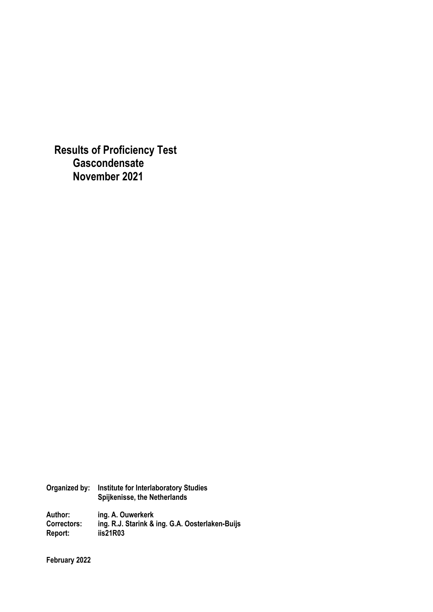**Results of Proficiency Test Gascondensate November 2021** 

| Organized by: | <b>Institute for Interlaboratory Studies</b><br>Spijkenisse, the Netherlands |
|---------------|------------------------------------------------------------------------------|
| Author:       | ing. A. Ouwerkerk                                                            |
| Correctors:   | ing. R.J. Starink & ing. G.A. Oosterlaken-Buijs                              |
| Report:       | iis21R03                                                                     |

**February 2022**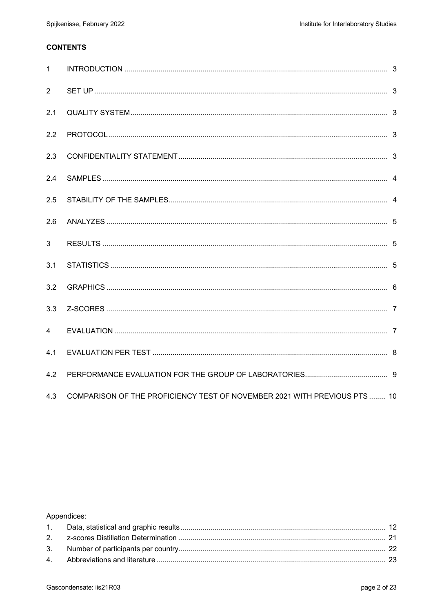# **CONTENTS**

| $\mathbf{1}$   |                                                                           |  |
|----------------|---------------------------------------------------------------------------|--|
| 2              |                                                                           |  |
| 2.1            |                                                                           |  |
| 2.2            |                                                                           |  |
| 2.3            |                                                                           |  |
| 2.4            |                                                                           |  |
| 2.5            |                                                                           |  |
| 2.6            |                                                                           |  |
| 3              |                                                                           |  |
| 3.1            |                                                                           |  |
| 3.2            |                                                                           |  |
| 3.3            |                                                                           |  |
| $\overline{4}$ |                                                                           |  |
| 4.1            |                                                                           |  |
| 4.2            |                                                                           |  |
| 4.3            | COMPARISON OF THE PROFICIENCY TEST OF NOVEMBER 2021 WITH PREVIOUS PTS  10 |  |

## Appendices: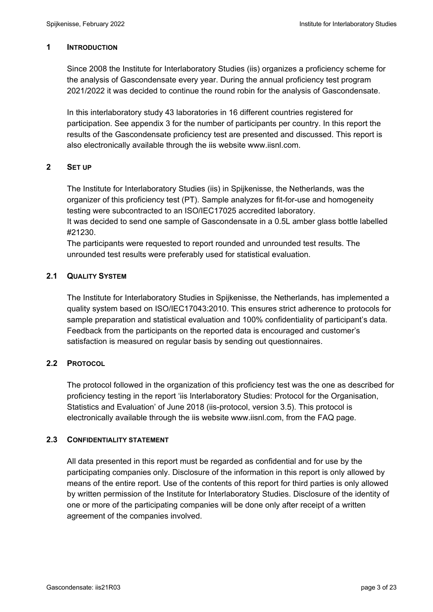#### **1 INTRODUCTION**

Since 2008 the Institute for Interlaboratory Studies (iis) organizes a proficiency scheme for the analysis of Gascondensate every year. During the annual proficiency test program 2021/2022 it was decided to continue the round robin for the analysis of Gascondensate.

In this interlaboratory study 43 laboratories in 16 different countries registered for participation. See appendix 3 for the number of participants per country. In this report the results of the Gascondensate proficiency test are presented and discussed. This report is also electronically available through the iis website www.iisnl.com.

#### **2 SET UP**

The Institute for Interlaboratory Studies (iis) in Spijkenisse, the Netherlands, was the organizer of this proficiency test (PT). Sample analyzes for fit-for-use and homogeneity testing were subcontracted to an ISO/IEC17025 accredited laboratory.

It was decided to send one sample of Gascondensate in a 0.5L amber glass bottle labelled #21230.

The participants were requested to report rounded and unrounded test results. The unrounded test results were preferably used for statistical evaluation.

### **2.1 QUALITY SYSTEM**

The Institute for Interlaboratory Studies in Spijkenisse, the Netherlands, has implemented a quality system based on ISO/IEC17043:2010. This ensures strict adherence to protocols for sample preparation and statistical evaluation and 100% confidentiality of participant's data. Feedback from the participants on the reported data is encouraged and customer's satisfaction is measured on regular basis by sending out questionnaires.

#### **2.2 PROTOCOL**

The protocol followed in the organization of this proficiency test was the one as described for proficiency testing in the report 'iis Interlaboratory Studies: Protocol for the Organisation, Statistics and Evaluation' of June 2018 (iis-protocol, version 3.5). This protocol is electronically available through the iis website www.iisnl.com, from the FAQ page.

#### **2.3 CONFIDENTIALITY STATEMENT**

All data presented in this report must be regarded as confidential and for use by the participating companies only. Disclosure of the information in this report is only allowed by means of the entire report. Use of the contents of this report for third parties is only allowed by written permission of the Institute for Interlaboratory Studies. Disclosure of the identity of one or more of the participating companies will be done only after receipt of a written agreement of the companies involved.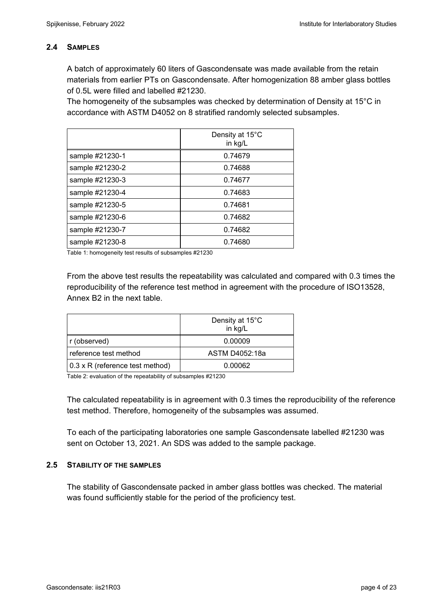### **2.4 SAMPLES**

A batch of approximately 60 liters of Gascondensate was made available from the retain materials from earlier PTs on Gascondensate. After homogenization 88 amber glass bottles of 0.5L were filled and labelled #21230.

The homogeneity of the subsamples was checked by determination of Density at 15°C in accordance with ASTM D4052 on 8 stratified randomly selected subsamples.

|                 | Density at 15°C<br>in kg/L |
|-----------------|----------------------------|
| sample #21230-1 | 0.74679                    |
| sample #21230-2 | 0.74688                    |
| sample #21230-3 | 0.74677                    |
| sample #21230-4 | 0.74683                    |
| sample #21230-5 | 0.74681                    |
| sample #21230-6 | 0.74682                    |
| sample #21230-7 | 0.74682                    |
| sample #21230-8 | 0.74680                    |

Table 1: homogeneity test results of subsamples #21230

From the above test results the repeatability was calculated and compared with 0.3 times the reproducibility of the reference test method in agreement with the procedure of ISO13528, Annex B2 in the next table.

|                                 | Density at 15°C<br>in kg/L |
|---------------------------------|----------------------------|
| r (observed)                    | 0.00009                    |
| reference test method           | ASTM D4052:18a             |
| 0.3 x R (reference test method) | 0.00062                    |

Table 2: evaluation of the repeatability of subsamples #21230

The calculated repeatability is in agreement with 0.3 times the reproducibility of the reference test method. Therefore, homogeneity of the subsamples was assumed.

To each of the participating laboratories one sample Gascondensate labelled #21230 was sent on October 13, 2021. An SDS was added to the sample package.

#### **2.5 STABILITY OF THE SAMPLES**

The stability of Gascondensate packed in amber glass bottles was checked. The material was found sufficiently stable for the period of the proficiency test.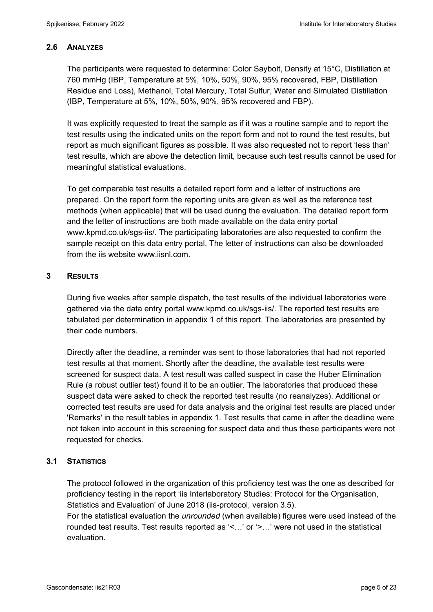### **2.6 ANALYZES**

The participants were requested to determine: Color Saybolt, Density at 15°C, Distillation at 760 mmHg (IBP, Temperature at 5%, 10%, 50%, 90%, 95% recovered, FBP, Distillation Residue and Loss), Methanol, Total Mercury, Total Sulfur, Water and Simulated Distillation (IBP, Temperature at 5%, 10%, 50%, 90%, 95% recovered and FBP).

It was explicitly requested to treat the sample as if it was a routine sample and to report the test results using the indicated units on the report form and not to round the test results, but report as much significant figures as possible. It was also requested not to report 'less than' test results, which are above the detection limit, because such test results cannot be used for meaningful statistical evaluations.

To get comparable test results a detailed report form and a letter of instructions are prepared. On the report form the reporting units are given as well as the reference test methods (when applicable) that will be used during the evaluation. The detailed report form and the letter of instructions are both made available on the data entry portal www.kpmd.co.uk/sgs-iis/. The participating laboratories are also requested to confirm the sample receipt on this data entry portal. The letter of instructions can also be downloaded from the iis website www.iisnl.com.

### **3 RESULTS**

During five weeks after sample dispatch, the test results of the individual laboratories were gathered via the data entry portal www.kpmd.co.uk/sgs-iis/. The reported test results are tabulated per determination in appendix 1 of this report. The laboratories are presented by their code numbers.

Directly after the deadline, a reminder was sent to those laboratories that had not reported test results at that moment. Shortly after the deadline, the available test results were screened for suspect data. A test result was called suspect in case the Huber Elimination Rule (a robust outlier test) found it to be an outlier. The laboratories that produced these suspect data were asked to check the reported test results (no reanalyzes). Additional or corrected test results are used for data analysis and the original test results are placed under 'Remarks' in the result tables in appendix 1. Test results that came in after the deadline were not taken into account in this screening for suspect data and thus these participants were not requested for checks.

#### **3.1 STATISTICS**

The protocol followed in the organization of this proficiency test was the one as described for proficiency testing in the report 'iis Interlaboratory Studies: Protocol for the Organisation, Statistics and Evaluation' of June 2018 (iis-protocol, version 3.5).

For the statistical evaluation the *unrounded* (when available) figures were used instead of the rounded test results. Test results reported as '<…' or '>…' were not used in the statistical evaluation.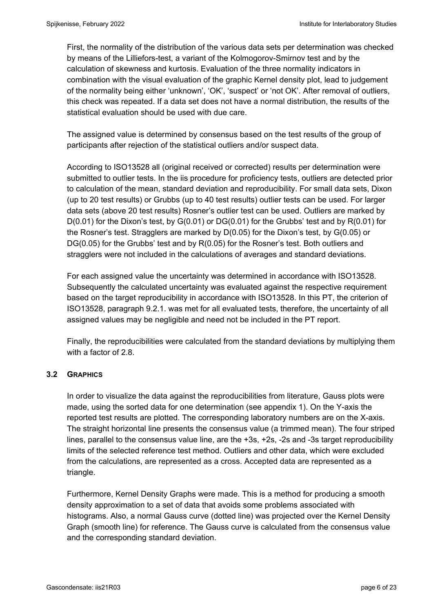First, the normality of the distribution of the various data sets per determination was checked by means of the Lilliefors-test, a variant of the Kolmogorov-Smirnov test and by the calculation of skewness and kurtosis. Evaluation of the three normality indicators in combination with the visual evaluation of the graphic Kernel density plot, lead to judgement of the normality being either 'unknown', 'OK', 'suspect' or 'not OK'. After removal of outliers, this check was repeated. If a data set does not have a normal distribution, the results of the statistical evaluation should be used with due care.

The assigned value is determined by consensus based on the test results of the group of participants after rejection of the statistical outliers and/or suspect data.

According to ISO13528 all (original received or corrected) results per determination were submitted to outlier tests. In the iis procedure for proficiency tests, outliers are detected prior to calculation of the mean, standard deviation and reproducibility. For small data sets, Dixon (up to 20 test results) or Grubbs (up to 40 test results) outlier tests can be used. For larger data sets (above 20 test results) Rosner's outlier test can be used. Outliers are marked by D(0.01) for the Dixon's test, by G(0.01) or DG(0.01) for the Grubbs' test and by R(0.01) for the Rosner's test. Stragglers are marked by D(0.05) for the Dixon's test, by G(0.05) or DG(0.05) for the Grubbs' test and by R(0.05) for the Rosner's test. Both outliers and stragglers were not included in the calculations of averages and standard deviations.

For each assigned value the uncertainty was determined in accordance with ISO13528. Subsequently the calculated uncertainty was evaluated against the respective requirement based on the target reproducibility in accordance with ISO13528. In this PT, the criterion of ISO13528, paragraph 9.2.1. was met for all evaluated tests, therefore, the uncertainty of all assigned values may be negligible and need not be included in the PT report.

Finally, the reproducibilities were calculated from the standard deviations by multiplying them with a factor of 2.8.

### **3.2 GRAPHICS**

In order to visualize the data against the reproducibilities from literature, Gauss plots were made, using the sorted data for one determination (see appendix 1). On the Y-axis the reported test results are plotted. The corresponding laboratory numbers are on the X-axis. The straight horizontal line presents the consensus value (a trimmed mean). The four striped lines, parallel to the consensus value line, are the +3s, +2s, -2s and -3s target reproducibility limits of the selected reference test method. Outliers and other data, which were excluded from the calculations, are represented as a cross. Accepted data are represented as a triangle.

Furthermore, Kernel Density Graphs were made. This is a method for producing a smooth density approximation to a set of data that avoids some problems associated with histograms. Also, a normal Gauss curve (dotted line) was projected over the Kernel Density Graph (smooth line) for reference. The Gauss curve is calculated from the consensus value and the corresponding standard deviation.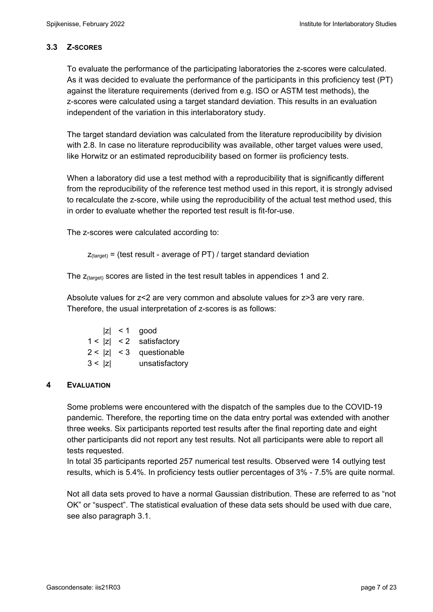### **3.3 Z-SCORES**

To evaluate the performance of the participating laboratories the z-scores were calculated. As it was decided to evaluate the performance of the participants in this proficiency test (PT) against the literature requirements (derived from e.g. ISO or ASTM test methods), the z-scores were calculated using a target standard deviation. This results in an evaluation independent of the variation in this interlaboratory study.

The target standard deviation was calculated from the literature reproducibility by division with 2.8. In case no literature reproducibility was available, other target values were used, like Horwitz or an estimated reproducibility based on former iis proficiency tests.

When a laboratory did use a test method with a reproducibility that is significantly different from the reproducibility of the reference test method used in this report, it is strongly advised to recalculate the z-score, while using the reproducibility of the actual test method used, this in order to evaluate whether the reported test result is fit-for-use.

The z-scores were calculated according to:

```
Z_{\text{target}} = (test result - average of PT) / target standard deviation
```
The  $z$ <sub>(target)</sub> scores are listed in the test result tables in appendices 1 and 2.

Absolute values for z<2 are very common and absolute values for z>3 are very rare. Therefore, the usual interpretation of z-scores is as follows:

|        | $ z  < 1$ good             |
|--------|----------------------------|
|        | $1 <  z  < 2$ satisfactory |
|        | $2 <  z  < 3$ questionable |
| 3 <  z | unsatisfactory             |

### **4 EVALUATION**

Some problems were encountered with the dispatch of the samples due to the COVID-19 pandemic. Therefore, the reporting time on the data entry portal was extended with another three weeks. Six participants reported test results after the final reporting date and eight other participants did not report any test results. Not all participants were able to report all tests requested.

In total 35 participants reported 257 numerical test results. Observed were 14 outlying test results, which is 5.4%. In proficiency tests outlier percentages of 3% - 7.5% are quite normal.

Not all data sets proved to have a normal Gaussian distribution. These are referred to as "not OK" or "suspect". The statistical evaluation of these data sets should be used with due care, see also paragraph 3.1.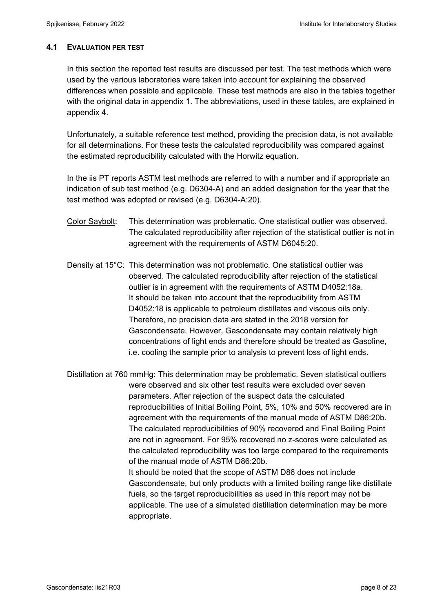### **4.1 EVALUATION PER TEST**

In this section the reported test results are discussed per test. The test methods which were used by the various laboratories were taken into account for explaining the observed differences when possible and applicable. These test methods are also in the tables together with the original data in appendix 1. The abbreviations, used in these tables, are explained in appendix 4.

Unfortunately, a suitable reference test method, providing the precision data, is not available for all determinations. For these tests the calculated reproducibility was compared against the estimated reproducibility calculated with the Horwitz equation.

In the iis PT reports ASTM test methods are referred to with a number and if appropriate an indication of sub test method (e.g. D6304-A) and an added designation for the year that the test method was adopted or revised (e.g. D6304-A:20).

- Color Saybolt: This determination was problematic. One statistical outlier was observed. The calculated reproducibility after rejection of the statistical outlier is not in agreement with the requirements of ASTM D6045:20.
- Density at 15°C: This determination was not problematic. One statistical outlier was observed. The calculated reproducibility after rejection of the statistical outlier is in agreement with the requirements of ASTM D4052:18a. It should be taken into account that the reproducibility from ASTM D4052:18 is applicable to petroleum distillates and viscous oils only. Therefore, no precision data are stated in the 2018 version for Gascondensate. However, Gascondensate may contain relatively high concentrations of light ends and therefore should be treated as Gasoline, i.e. cooling the sample prior to analysis to prevent loss of light ends.

Distillation at 760 mmHg: This determination may be problematic. Seven statistical outliers were observed and six other test results were excluded over seven parameters. After rejection of the suspect data the calculated reproducibilities of Initial Boiling Point, 5%, 10% and 50% recovered are in agreement with the requirements of the manual mode of ASTM D86:20b. The calculated reproducibilities of 90% recovered and Final Boiling Point are not in agreement. For 95% recovered no z-scores were calculated as the calculated reproducibility was too large compared to the requirements of the manual mode of ASTM D86:20b.

 It should be noted that the scope of ASTM D86 does not include Gascondensate, but only products with a limited boiling range like distillate fuels, so the target reproducibilities as used in this report may not be applicable. The use of a simulated distillation determination may be more appropriate.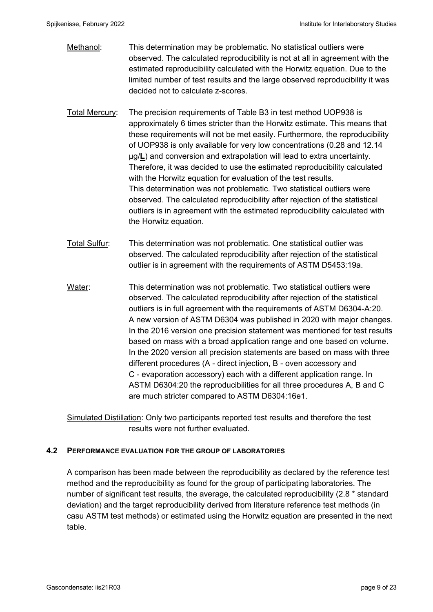- Methanol: This determination may be problematic. No statistical outliers were observed. The calculated reproducibility is not at all in agreement with the estimated reproducibility calculated with the Horwitz equation. Due to the limited number of test results and the large observed reproducibility it was decided not to calculate z-scores.
- Total Mercury: The precision requirements of Table B3 in test method UOP938 is approximately 6 times stricter than the Horwitz estimate. This means that these requirements will not be met easily. Furthermore, the reproducibility of UOP938 is only available for very low concentrations (0.28 and 12.14 µg/**L**) and conversion and extrapolation will lead to extra uncertainty. Therefore, it was decided to use the estimated reproducibility calculated with the Horwitz equation for evaluation of the test results. This determination was not problematic. Two statistical outliers were observed. The calculated reproducibility after rejection of the statistical outliers is in agreement with the estimated reproducibility calculated with the Horwitz equation.
- Total Sulfur: This determination was not problematic. One statistical outlier was observed. The calculated reproducibility after rejection of the statistical outlier is in agreement with the requirements of ASTM D5453:19a.
- Water: This determination was not problematic. Two statistical outliers were observed. The calculated reproducibility after rejection of the statistical outliers is in full agreement with the requirements of ASTM D6304-A:20. A new version of ASTM D6304 was published in 2020 with major changes. In the 2016 version one precision statement was mentioned for test results based on mass with a broad application range and one based on volume. In the 2020 version all precision statements are based on mass with three different procedures (A - direct injection, B - oven accessory and C - evaporation accessory) each with a different application range. In ASTM D6304:20 the reproducibilities for all three procedures A, B and C are much stricter compared to ASTM D6304:16e1.

Simulated Distillation: Only two participants reported test results and therefore the test results were not further evaluated.

#### **4.2 PERFORMANCE EVALUATION FOR THE GROUP OF LABORATORIES**

A comparison has been made between the reproducibility as declared by the reference test method and the reproducibility as found for the group of participating laboratories. The number of significant test results, the average, the calculated reproducibility (2.8 \* standard deviation) and the target reproducibility derived from literature reference test methods (in casu ASTM test methods) or estimated using the Horwitz equation are presented in the next table.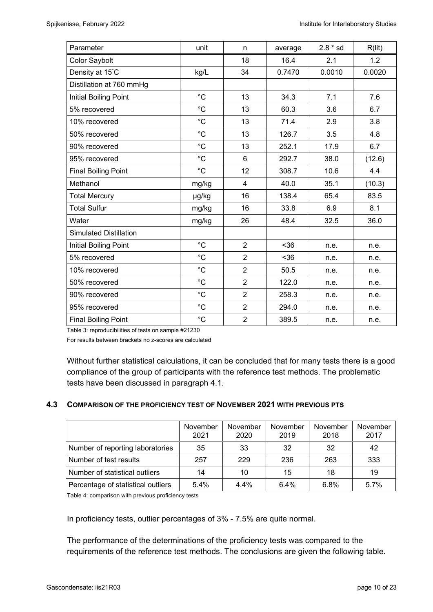| Parameter                     | unit              | n              | average | $2.8 * sd$ | R(lit) |
|-------------------------------|-------------------|----------------|---------|------------|--------|
| Color Saybolt                 |                   | 18             | 16.4    | 2.1        | 1.2    |
| Density at 15°C               | kg/L              | 34             | 0.7470  | 0.0010     | 0.0020 |
| Distillation at 760 mmHg      |                   |                |         |            |        |
| <b>Initial Boiling Point</b>  | $^{\circ}C$       | 13             | 34.3    | 7.1        | 7.6    |
| 5% recovered                  | $^{\circ}C$       | 13             | 60.3    | 3.6        | 6.7    |
| 10% recovered                 | $^{\circ}C$       | 13             | 71.4    | 2.9        | 3.8    |
| 50% recovered                 | $^{\circ}C$       | 13             | 126.7   | 3.5        | 4.8    |
| 90% recovered                 | $^{\circ}C$       | 13             | 252.1   | 17.9       | 6.7    |
| 95% recovered                 | $^{\circ}C$       | $6\phantom{1}$ | 292.7   | 38.0       | (12.6) |
| <b>Final Boiling Point</b>    | $^{\circ}C$       | 12             | 308.7   | 10.6       | 4.4    |
| Methanol                      | mg/kg             | 4              | 40.0    | 35.1       | (10.3) |
| <b>Total Mercury</b>          | µg/kg             | 16             | 138.4   | 65.4       | 83.5   |
| <b>Total Sulfur</b>           | mg/kg             | 16             | 33.8    | 6.9        | 8.1    |
| Water                         | mg/kg             | 26             | 48.4    | 32.5       | 36.0   |
| <b>Simulated Distillation</b> |                   |                |         |            |        |
| <b>Initial Boiling Point</b>  | $^{\circ}C$       | $\overline{2}$ | $36$    | n.e.       | n.e.   |
| 5% recovered                  | $^{\circ}C$       | $\overline{2}$ | $36$    | n.e.       | n.e.   |
| 10% recovered                 | $^{\circ}C$       | $\overline{2}$ | 50.5    | n.e.       | n.e.   |
| 50% recovered                 | $^{\circ}C$       | $\overline{2}$ | 122.0   | n.e.       | n.e.   |
| 90% recovered                 | $^{\circ}C$       | $\overline{2}$ | 258.3   | n.e.       | n.e.   |
| 95% recovered                 | $^{\circ}{\rm C}$ | $\overline{2}$ | 294.0   | n.e.       | n.e.   |
| <b>Final Boiling Point</b>    | $^{\circ}C$       | $\overline{2}$ | 389.5   | n.e.       | n.e.   |

Table 3: reproducibilities of tests on sample #21230

For results between brackets no z-scores are calculated

Without further statistical calculations, it can be concluded that for many tests there is a good compliance of the group of participants with the reference test methods. The problematic tests have been discussed in paragraph 4.1.

#### **4.3 COMPARISON OF THE PROFICIENCY TEST OF NOVEMBER 2021 WITH PREVIOUS PTS**

|                                    | November<br>2021 | November<br>2020 | November<br>2019 | November<br>2018 | November<br>2017 |
|------------------------------------|------------------|------------------|------------------|------------------|------------------|
| Number of reporting laboratories   | 35               | 33               | 32               | 32               | 42               |
| Number of test results             | 257              | 229              | 236              | 263              | 333              |
| Number of statistical outliers     | 14               | 10               | 15               | 18               | 19               |
| Percentage of statistical outliers | 5.4%             | 4.4%             | 6.4%             | 6.8%             | 5.7%             |

Table 4: comparison with previous proficiency tests

In proficiency tests, outlier percentages of 3% - 7.5% are quite normal.

The performance of the determinations of the proficiency tests was compared to the requirements of the reference test methods. The conclusions are given the following table.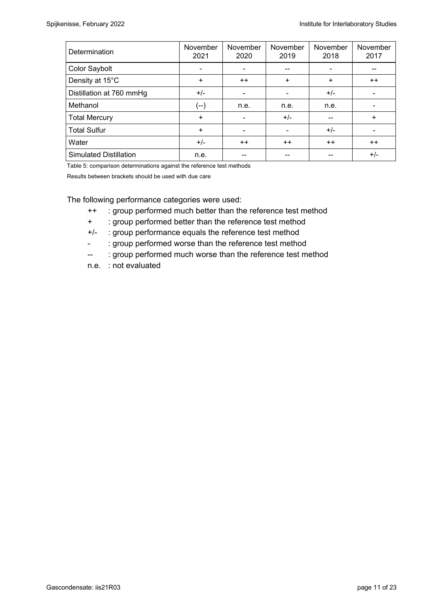| Determination                 | November<br>2021 | November<br>2020 | November<br>2019 | November<br>2018 | November<br>2017 |
|-------------------------------|------------------|------------------|------------------|------------------|------------------|
| Color Saybolt                 | $\blacksquare$   | -                | --               |                  |                  |
| Density at 15°C               | $\ddot{}$        | $++$             | $\ddot{}$        | ÷                | $++$             |
| Distillation at 760 mmHg      | $+/-$            |                  |                  | $+/-$            |                  |
| Methanol                      | (--)             | n.e.             | n.e.             | n.e.             |                  |
| <b>Total Mercury</b>          | $\ddot{}$        |                  | $+/-$            |                  | $+$              |
| <b>Total Sulfur</b>           | $\ddot{}$        | -                |                  | $+/-$            |                  |
| Water                         | $+/-$            | $++$             | $++$             | $++$             | $++$             |
| <b>Simulated Distillation</b> | n.e.             |                  |                  |                  | $+/-$            |

Table 5: comparison determinations against the reference test methods

Results between brackets should be used with due care

The following performance categories were used:

- ++ : group performed much better than the reference test method
- + : group performed better than the reference test method
- +/- : group performance equals the reference test method
- : group performed worse than the reference test method
- -- : group performed much worse than the reference test method
- n.e. : not evaluated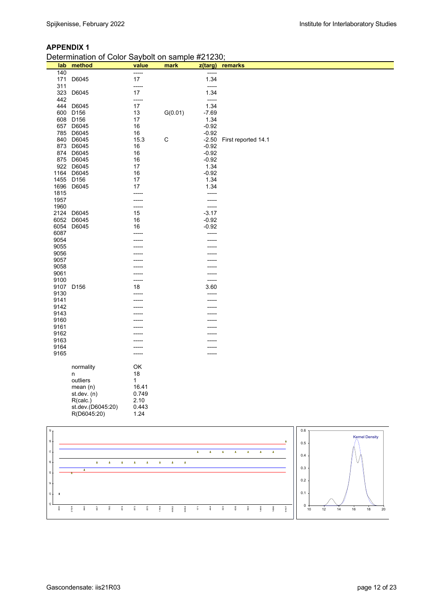|              | Determination of Color Saybolt on sample #21230; |          |         |                    |                     |  |  |  |  |
|--------------|--------------------------------------------------|----------|---------|--------------------|---------------------|--|--|--|--|
| lab          | method                                           | value    | mark    | z(targ)            | remarks             |  |  |  |  |
| 140          |                                                  | -----    |         | -----              |                     |  |  |  |  |
| 171          | D6045                                            | 17       |         | 1.34               |                     |  |  |  |  |
| 311          |                                                  | -----    |         | $-----$            |                     |  |  |  |  |
| 323          | D6045                                            | 17       |         | 1.34               |                     |  |  |  |  |
| 442          |                                                  | -----    |         | -----              |                     |  |  |  |  |
| 444          | D6045                                            | 17       |         | 1.34               |                     |  |  |  |  |
| 600          | D <sub>156</sub>                                 | 13       | G(0.01) | $-7.69$            |                     |  |  |  |  |
| 608          | D <sub>156</sub>                                 | 17       |         | 1.34               |                     |  |  |  |  |
| 657          | D6045                                            | 16       |         | $-0.92$            |                     |  |  |  |  |
| 785          | D6045                                            | 16       |         | $-0.92$            |                     |  |  |  |  |
| 840          | D6045                                            | 15.3     | C       | $-2.50$            | First reported 14.1 |  |  |  |  |
| 873<br>874   | D6045                                            | 16       |         | $-0.92$<br>$-0.92$ |                     |  |  |  |  |
| 875          | D6045<br>D6045                                   | 16<br>16 |         | $-0.92$            |                     |  |  |  |  |
| 922          | D6045                                            | 17       |         | 1.34               |                     |  |  |  |  |
| 1164         | D6045                                            | 16       |         | $-0.92$            |                     |  |  |  |  |
| 1455         | D <sub>156</sub>                                 | 17       |         | 1.34               |                     |  |  |  |  |
| 1696         | D6045                                            | 17       |         | 1.34               |                     |  |  |  |  |
| 1815         |                                                  | -----    |         | -----              |                     |  |  |  |  |
| 1957         |                                                  | -----    |         | $-----$            |                     |  |  |  |  |
| 1960         |                                                  | -----    |         | -----              |                     |  |  |  |  |
| 2124         | D6045                                            | 15       |         | $-3.17$            |                     |  |  |  |  |
| 6052         | D6045                                            | 16       |         | $-0.92$            |                     |  |  |  |  |
| 6054         | D6045                                            | 16       |         | $-0.92$            |                     |  |  |  |  |
| 6087         |                                                  | -----    |         | -----              |                     |  |  |  |  |
| 9054         |                                                  | -----    |         | -----              |                     |  |  |  |  |
| 9055         |                                                  | -----    |         | -----              |                     |  |  |  |  |
| 9056         |                                                  |          |         | -----              |                     |  |  |  |  |
| 9057         |                                                  |          |         |                    |                     |  |  |  |  |
| 9058         |                                                  |          |         |                    |                     |  |  |  |  |
| 9061         |                                                  | -----    |         | -----              |                     |  |  |  |  |
| 9100         |                                                  | -----    |         | -----              |                     |  |  |  |  |
| 9107         | D <sub>156</sub>                                 | 18       |         | 3.60               |                     |  |  |  |  |
| 9130         |                                                  | -----    |         | -----              |                     |  |  |  |  |
| 9141         |                                                  | -----    |         | -----              |                     |  |  |  |  |
| 9142<br>9143 |                                                  |          |         |                    |                     |  |  |  |  |
| 9160         |                                                  |          |         |                    |                     |  |  |  |  |
| 9161         |                                                  |          |         |                    |                     |  |  |  |  |
| 9162         |                                                  |          |         | ----               |                     |  |  |  |  |
| 9163         |                                                  |          |         |                    |                     |  |  |  |  |
| 9164         |                                                  |          |         |                    |                     |  |  |  |  |
| 9165         |                                                  | -----    |         | -----              |                     |  |  |  |  |
|              |                                                  |          |         |                    |                     |  |  |  |  |
|              | normality                                        | OK       |         |                    |                     |  |  |  |  |
|              | n                                                | 18       |         |                    |                     |  |  |  |  |
|              | outliers                                         | 1        |         |                    |                     |  |  |  |  |
|              | mean $(n)$                                       | 16.41    |         |                    |                     |  |  |  |  |
|              | st.dev. (n)                                      | 0.749    |         |                    |                     |  |  |  |  |
|              | R(calc.)                                         | 2.10     |         |                    |                     |  |  |  |  |
|              | st.dev.(D6045:20)                                | 0.443    |         |                    |                     |  |  |  |  |
|              | R(D6045:20)                                      | 1.24     |         |                    |                     |  |  |  |  |

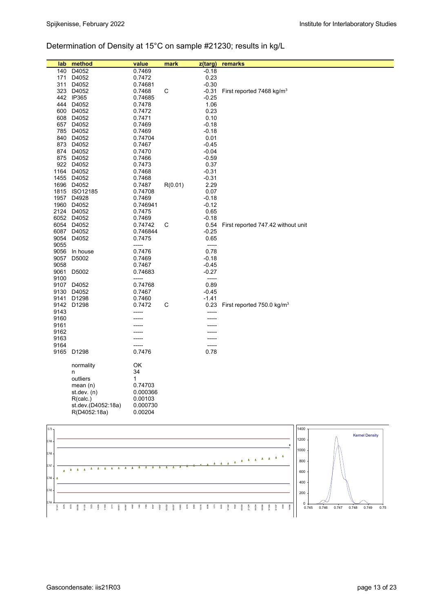# Determination of Density at 15°C on sample #21230; results in kg/L

| lab  | method                   | value               | mark    | z(targ)         | remarks                                |
|------|--------------------------|---------------------|---------|-----------------|----------------------------------------|
| 140  | D4052                    | 0.7469              |         | $-0.18$         |                                        |
|      | 171 D4052                | 0.7472              |         | 0.23            |                                        |
|      | 311 D4052                | 0.74681             |         | $-0.30$         |                                        |
|      | 323 D4052                | 0.7468              | С       | -0.31           | First reported 7468 kg/m <sup>3</sup>  |
|      | 442 IP365                | 0.74685             |         | $-0.25$         |                                        |
|      | 444 D4052                | 0.7478              |         | 1.06            |                                        |
|      | 600 D4052                | 0.7472              |         | 0.23            |                                        |
|      | 608 D4052                | 0.7471              |         | 0.10            |                                        |
|      | 657 D4052                | 0.7469              |         | $-0.18$         |                                        |
|      | 785 D4052                | 0.7469              |         | $-0.18$         |                                        |
|      | 840 D4052                | 0.74704             |         | 0.01            |                                        |
|      | 873 D4052                | 0.7467              |         | -0.45           |                                        |
|      | 874 D4052                | 0.7470              |         | $-0.04$         |                                        |
|      | 875 D4052                | 0.7466              |         | $-0.59$         |                                        |
|      | 922 D4052                | 0.7473              |         | 0.37            |                                        |
|      | 1164 D4052               | 0.7468              |         | -0.31           |                                        |
|      | 1455 D4052               | 0.7468              |         | $-0.31$         |                                        |
|      | 1696 D4052               | 0.7487              | R(0.01) | 2.29            |                                        |
|      | 1815 ISO12185            | 0.74708             |         | 0.07            |                                        |
|      | 1957 D4928               | 0.7469              |         | -0.18           |                                        |
|      | 1960 D4052               | 0.746941            |         | $-0.12$         |                                        |
|      | 2124 D4052               | 0.7475              |         | 0.65            |                                        |
|      | 6052 D4052               | 0.7469              |         | $-0.18$         |                                        |
|      | 6054 D4052<br>6087 D4052 | 0.74742<br>0.746844 | С       | 0.54<br>$-0.25$ | First reported 747.42 without unit     |
|      | 9054 D4052               | 0.7475              |         | 0.65            |                                        |
| 9055 |                          | -----               |         | -----           |                                        |
|      | 9056 In house            | 0.7476              |         | 0.78            |                                        |
|      | 9057 D5002               | 0.7469              |         | $-0.18$         |                                        |
| 9058 |                          | 0.7467              |         | -0.45           |                                        |
|      | 9061 D5002               | 0.74683             |         | $-0.27$         |                                        |
| 9100 |                          | -----               |         | -----           |                                        |
|      | 9107 D4052               | 0.74768             |         | 0.89            |                                        |
|      | 9130 D4052               | 0.7467              |         | $-0.45$         |                                        |
| 9141 | D1298                    | 0.7460              |         | $-1.41$         |                                        |
|      | 9142 D1298               | 0.7472              | С       | 0.23            | First reported 750.0 kg/m <sup>3</sup> |
| 9143 |                          |                     |         |                 |                                        |
| 9160 |                          |                     |         |                 |                                        |
| 9161 |                          |                     |         |                 |                                        |
| 9162 |                          |                     |         |                 |                                        |
| 9163 |                          |                     |         |                 |                                        |
| 9164 |                          |                     |         | -----           |                                        |
|      | 9165 D1298               | 0.7476              |         | 0.78            |                                        |
|      | normality                | OK                  |         |                 |                                        |
|      | n                        | 34                  |         |                 |                                        |
|      | outliers                 | 1                   |         |                 |                                        |
|      | mean $(n)$               | 0.74703             |         |                 |                                        |
|      | st.dev. $(n)$            | 0.000366            |         |                 |                                        |
|      | R(calc.)                 | 0.00103             |         |                 |                                        |
|      | st.dev.(D4052:18a)       | 0.000730            |         |                 |                                        |
|      | R(D4052:18a)             | 0.00204             |         |                 |                                        |
|      |                          |                     |         |                 |                                        |

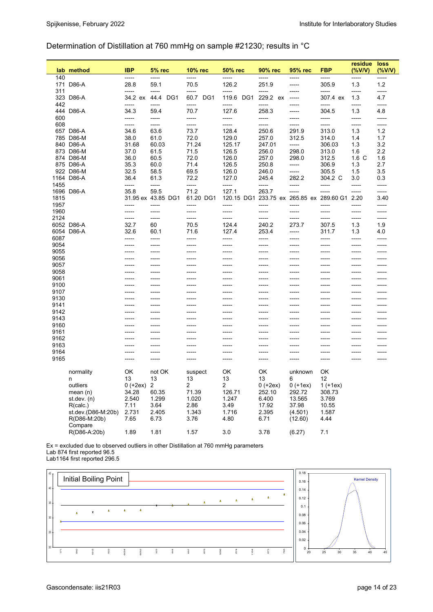## Determination of Distillation at 760 mmHg on sample #21230; results in °C

|              | lab method             | <b>IBP</b>       | <b>5% rec</b>      | 10% rec           | <b>50% rec</b>                           | 90% rec           | 95% rec             | <b>FBP</b>        | residue<br>$($ %V/V) | loss<br>$(\%$ V/V) |
|--------------|------------------------|------------------|--------------------|-------------------|------------------------------------------|-------------------|---------------------|-------------------|----------------------|--------------------|
| 140          |                        | -----            | -----              | -----             | -----                                    |                   | -----               | -----             | -----                | -----              |
|              | 171 D86-A              | 28.8             | 59.1               | 70.5              | 126.2                                    | 251.9             | -----               | 305.9             | 1.3                  | $1.2$              |
| 311          | 323 D86-A              | -----<br>34.2 ex | -----<br>44.4 DG1  | -----<br>60.7 DG1 | -----<br>119.6 DG1                       | -----<br>229.2 ex | -----<br>-----      | -----<br>307.4 ex | -----<br>1.3         | -----<br>4.7       |
| 442          |                        | -----            | -----              | -----             | -----                                    | -----             | -----               | -----             | -----                | -----              |
|              | 444 D86-A              | 34.3             | 59.4               | 70.7              | 127.6                                    | 258.3             | -----               | 304.5             | 1.3                  | 4.8                |
| 600          |                        | -----            | -----              | -----             | -----                                    | -----             | -----               | -----             | -----                | -----              |
| 608          |                        | -----<br>34.6    | -----<br>63.6      | -----<br>73.7     | -----<br>128.4                           | -----<br>250.6    | -----<br>291.9      | -----<br>313.0    | -----<br>1.3         | -----<br>1.2       |
|              | 657 D86-A<br>785 D86-M | 38.0             | 61.0               | 72.0              | 129.0                                    | 257.0             | 312.5               | 314.0             | 1.4                  | 1.7                |
|              | 840 D86-A              | 31.68            | 60.03              | 71.24             | 125.17                                   | 247.01            | -----               | 306.03            | 1.3                  | 3.2                |
|              | 873 D86-M              | 37.0             | 61.5               | 71.5              | 126.5                                    | 256.0             | 298.0               | 313.0             | 1.6                  | 2.2                |
|              | 874 D86-M              | 36.0             | 60.5               | 72.0              | 126.0                                    | 257.0             | 298.0               | 312.5             | 1.6 C                | 1.6                |
|              | 875 D86-A              | 35.3             | 60.0               | 71.4              | 126.5                                    | 250.8             | -----               | 306.9             | 1.3                  | 2.7                |
|              | 922 D86-M              | 32.5             | 58.5               | 69.5              | 126.0                                    | 246.0             | -----               | 305.5             | 1.5                  | 3.5                |
|              | 1164 D86-A             | 36.4             | 61.3               | 72.2              | 127.0                                    | 245.4             | 282.2               | 304.2 C           | 3.0                  | 0.3                |
| 1455         |                        | -----            | -----              | -----             | -----                                    | -----             | -----               | -----             | -----                | -----              |
|              | 1696 D86-A             | 35.8             | 59.5               | 71.2              | 127.1                                    | 263.7             | -----               | -----             | -----                | -----              |
| 1815         |                        |                  | 31.95 ex 43.85 DG1 | 61.20 DG1         | 120.15 DG1 233.75 ex 265.85 ex 289.60 G1 |                   |                     |                   | 2.20                 | 3.40               |
| 1957         |                        | -----            | ------             | -----             | -----                                    | -----             | -----               | -----             | -----                | -----              |
| 1960         |                        | -----            | -----              | -----             | -----                                    | -----             | -----               | -----             | -----                | -----              |
| 2124         |                        | -----            | -----              | -----             | -----                                    | -----             | -----               | -----             | -----                | -----              |
|              | 6052 D86-A             | 32.7             | 60                 | 70.5              | 124.4                                    | 240.2             | 273.7               | 307.5             | 1.3                  | 1.9                |
|              | 6054 D86-A             | 32.6             | 60.1               | 71.6              | 127.4                                    | 253.4             | -----               | 311.7             | 1.3                  | 4.0                |
| 6087         |                        | -----            | -----              | -----             | -----                                    | -----             | -----               | -----             | -----                | -----              |
| 9054         |                        | -----            | -----              | -----             | -----                                    | ------            | -----               | -----             | -----                | -----              |
| 9055         |                        | -----            | -----              | -----             | -----                                    | ------            | -----               | -----             | -----                | -----              |
| 9056         |                        | -----            | -----              | -----             | -----                                    | -----             | -----               | -----             | -----                | -----              |
| 9057         |                        | -----            | -----              | -----             | -----                                    | -----             | -----               | -----             | -----                | -----              |
| 9058         |                        | -----            | ------             | -----             | -----                                    | -----             | -----               | -----             | -----                | -----              |
| 9061         |                        | -----            | ------             | -----             | -----                                    | -----             | -----               | -----             | -----                | -----              |
| 9100         |                        | -----            | ------             | -----             | -----                                    | $-----$           | -----               | -----             | -----                | -----              |
| 9107         |                        | -----            | ------             | -----             | -----                                    | $-----$           | -----               | -----             | -----                | -----              |
| 9130         |                        | -----            | -----              | -----             | -----                                    | -----             | -----               | -----             | -----                | -----              |
| 9141         |                        | -----            | -----              | -----             | -----                                    | -----             | -----               | -----             | -----                | -----              |
| 9142         |                        | -----            | -----              | -----             | -----                                    | -----             | -----               | -----             | -----                | -----              |
| 9143         |                        | -----            | -----              | -----             | -----                                    | -----             | -----               | -----             | -----                | -----              |
| 9160         |                        | -----            | -----              | -----             | -----                                    | -----             | -----               | -----             | -----                | -----              |
| 9161         |                        | -----            | ------             | -----             | -----                                    | $-----$           | -----               | ------            | -----                | -----              |
| 9162         |                        | -----            | ------             | -----             | -----                                    | -----             | -----               | ------            | -----                | ------             |
| 9163<br>9164 |                        | -----<br>-----   | -----<br>-----     | -----<br>-----    | -----<br>-----                           | -----<br>-----    | -----<br>-----      | ------<br>-----   | -----                | -----<br>-----     |
| 9165         |                        |                  |                    | -----             | -----                                    |                   |                     |                   | -----                | -----              |
|              |                        | -----            | -----              |                   |                                          | -----             | -----               | -----             |                      |                    |
|              | normality              | OK               | not OK             | suspect           | OK                                       | OK                | unknown             | OK                |                      |                    |
|              | n                      | 13               | 13                 | 13                | 13                                       | 13                | 6                   | 12                |                      |                    |
|              | outliers               | $0 (+2ex) 2$     |                    | $\overline{2}$    | $\overline{a}$                           | $0 (+2ex)$        | $0 (+1ex) 1 (+1ex)$ |                   |                      |                    |
|              | mean $(n)$             | 34.28            | 60.35              | 71.39             | 126.71                                   | 252.10            | 292.72              | 308.73            |                      |                    |
|              | st.dev. (n)            | 2.540            | 1.299              | 1.020             | 1.247                                    | 6.400             | 13.565              | 3.769             |                      |                    |
|              | R(calc.)               | 7.11             | 3.64               | 2.86              | 3.49                                     | 17.92             | 37.98               | 10.55             |                      |                    |
|              | st.dev.(D86-M:20b)     | 2.731            | 2.405              | 1.343             | 1.716                                    | 2.395             | (4.501)             | 1.587             |                      |                    |
|              | R(D86-M:20b)           | 7.65             | 6.73               | 3.76              | 4.80                                     | 6.71              | (12.60)             | 4.44              |                      |                    |
|              | Compare                |                  |                    |                   |                                          |                   |                     |                   |                      |                    |
|              | R(D86-A:20b)           | 1.89             | 1.81               | 1.57              | 3.0                                      | 3.78              | (6.27)              | 7.1               |                      |                    |
|              |                        |                  |                    |                   |                                          |                   |                     |                   |                      |                    |

Ex = excluded due to observed outliers in other Distillation at 760 mmHg parameters Lab 874 first reported 96.5



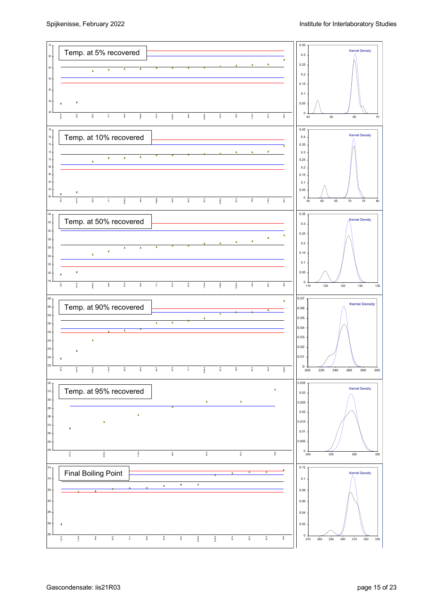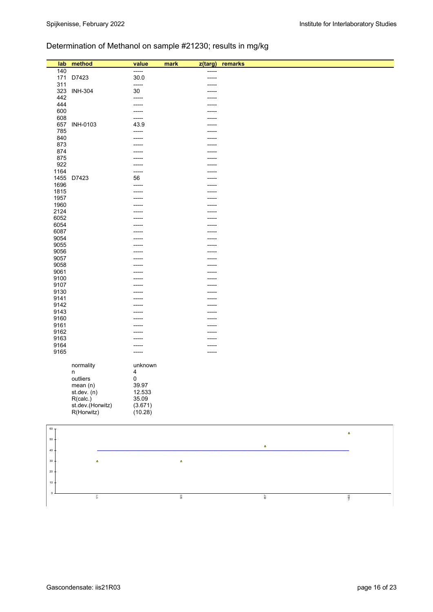# Determination of Methanol on sample #21230; results in mg/kg

| 140<br>-----<br>-----<br>171<br>D7423<br>30.0<br>-----<br>311<br>-----<br>-----<br>323<br><b>INH-304</b><br>30<br>-----<br>442<br>-----<br>-----<br>444<br>-----<br>600<br>-----<br>608<br>-----<br>657<br><b>INH-0103</b><br>43.9<br>-----<br>785<br>-----<br>-----<br>840<br>-----<br>-----<br>873<br>-----<br>-----<br>874<br>-----<br>-----<br>875<br>-----<br>922<br>-----<br>1164<br>-----<br>-----<br>1455<br>D7423<br>56<br>-----<br>1696<br>-----<br>-----<br>1815<br>-----<br>-----<br>1957<br>-----<br>-----<br>1960<br>-----<br>2124<br>----<br>6052<br>6054<br>-----<br>-----<br>6087<br>-----<br>9054<br>-----<br>-----<br>9055<br>-----<br>-----<br>9056<br>-----<br>-----<br>9057<br>9058<br>-----<br>-----<br>9061<br>-----<br>-----<br>9100<br>-----<br>-----<br>9107<br>-----<br>-----<br>9130<br>-----<br>-----<br>9141<br>-----<br>-----<br>9142<br>-----<br>-----<br>9143<br>9160<br>-----<br>-----<br>9161<br>----<br>-----<br>9162<br>9163<br>-----<br>-----<br>9164<br>-----<br>-----<br>9165<br>-----<br>-----<br>normality<br>unknown<br>$\overline{\mathbf{4}}$<br>n<br>outliers<br>$\pmb{0}$<br>39.97<br>mean (n)<br>st.dev. (n)<br>12.533<br>R(calc.)<br>35.09<br>st.dev.(Horwitz)<br>(3.671)<br>R(Horwitz)<br>(10.28)<br>$60\,$ -<br>$\pmb{\Delta}$<br>$50\,$<br>$\Delta$<br>$40\,$<br>$30\,$<br>$\Delta$<br>$\pmb{\Delta}$<br>$20\,$<br>10 | lab | method | value | mark<br>z(targ) | remarks |  |
|----------------------------------------------------------------------------------------------------------------------------------------------------------------------------------------------------------------------------------------------------------------------------------------------------------------------------------------------------------------------------------------------------------------------------------------------------------------------------------------------------------------------------------------------------------------------------------------------------------------------------------------------------------------------------------------------------------------------------------------------------------------------------------------------------------------------------------------------------------------------------------------------------------------------------------------------------------------------------------------------------------------------------------------------------------------------------------------------------------------------------------------------------------------------------------------------------------------------------------------------------------------------------------------------------------------------------------------------------------------------------|-----|--------|-------|-----------------|---------|--|
|                                                                                                                                                                                                                                                                                                                                                                                                                                                                                                                                                                                                                                                                                                                                                                                                                                                                                                                                                                                                                                                                                                                                                                                                                                                                                                                                                                            |     |        |       |                 |         |  |
|                                                                                                                                                                                                                                                                                                                                                                                                                                                                                                                                                                                                                                                                                                                                                                                                                                                                                                                                                                                                                                                                                                                                                                                                                                                                                                                                                                            |     |        |       |                 |         |  |
|                                                                                                                                                                                                                                                                                                                                                                                                                                                                                                                                                                                                                                                                                                                                                                                                                                                                                                                                                                                                                                                                                                                                                                                                                                                                                                                                                                            |     |        |       |                 |         |  |
|                                                                                                                                                                                                                                                                                                                                                                                                                                                                                                                                                                                                                                                                                                                                                                                                                                                                                                                                                                                                                                                                                                                                                                                                                                                                                                                                                                            |     |        |       |                 |         |  |
|                                                                                                                                                                                                                                                                                                                                                                                                                                                                                                                                                                                                                                                                                                                                                                                                                                                                                                                                                                                                                                                                                                                                                                                                                                                                                                                                                                            |     |        |       |                 |         |  |
|                                                                                                                                                                                                                                                                                                                                                                                                                                                                                                                                                                                                                                                                                                                                                                                                                                                                                                                                                                                                                                                                                                                                                                                                                                                                                                                                                                            |     |        |       |                 |         |  |
|                                                                                                                                                                                                                                                                                                                                                                                                                                                                                                                                                                                                                                                                                                                                                                                                                                                                                                                                                                                                                                                                                                                                                                                                                                                                                                                                                                            |     |        |       |                 |         |  |
|                                                                                                                                                                                                                                                                                                                                                                                                                                                                                                                                                                                                                                                                                                                                                                                                                                                                                                                                                                                                                                                                                                                                                                                                                                                                                                                                                                            |     |        |       |                 |         |  |
|                                                                                                                                                                                                                                                                                                                                                                                                                                                                                                                                                                                                                                                                                                                                                                                                                                                                                                                                                                                                                                                                                                                                                                                                                                                                                                                                                                            |     |        |       |                 |         |  |
|                                                                                                                                                                                                                                                                                                                                                                                                                                                                                                                                                                                                                                                                                                                                                                                                                                                                                                                                                                                                                                                                                                                                                                                                                                                                                                                                                                            |     |        |       |                 |         |  |
|                                                                                                                                                                                                                                                                                                                                                                                                                                                                                                                                                                                                                                                                                                                                                                                                                                                                                                                                                                                                                                                                                                                                                                                                                                                                                                                                                                            |     |        |       |                 |         |  |
|                                                                                                                                                                                                                                                                                                                                                                                                                                                                                                                                                                                                                                                                                                                                                                                                                                                                                                                                                                                                                                                                                                                                                                                                                                                                                                                                                                            |     |        |       |                 |         |  |
|                                                                                                                                                                                                                                                                                                                                                                                                                                                                                                                                                                                                                                                                                                                                                                                                                                                                                                                                                                                                                                                                                                                                                                                                                                                                                                                                                                            |     |        |       |                 |         |  |
|                                                                                                                                                                                                                                                                                                                                                                                                                                                                                                                                                                                                                                                                                                                                                                                                                                                                                                                                                                                                                                                                                                                                                                                                                                                                                                                                                                            |     |        |       |                 |         |  |
|                                                                                                                                                                                                                                                                                                                                                                                                                                                                                                                                                                                                                                                                                                                                                                                                                                                                                                                                                                                                                                                                                                                                                                                                                                                                                                                                                                            |     |        |       |                 |         |  |
|                                                                                                                                                                                                                                                                                                                                                                                                                                                                                                                                                                                                                                                                                                                                                                                                                                                                                                                                                                                                                                                                                                                                                                                                                                                                                                                                                                            |     |        |       |                 |         |  |
|                                                                                                                                                                                                                                                                                                                                                                                                                                                                                                                                                                                                                                                                                                                                                                                                                                                                                                                                                                                                                                                                                                                                                                                                                                                                                                                                                                            |     |        |       |                 |         |  |
|                                                                                                                                                                                                                                                                                                                                                                                                                                                                                                                                                                                                                                                                                                                                                                                                                                                                                                                                                                                                                                                                                                                                                                                                                                                                                                                                                                            |     |        |       |                 |         |  |
|                                                                                                                                                                                                                                                                                                                                                                                                                                                                                                                                                                                                                                                                                                                                                                                                                                                                                                                                                                                                                                                                                                                                                                                                                                                                                                                                                                            |     |        |       |                 |         |  |
|                                                                                                                                                                                                                                                                                                                                                                                                                                                                                                                                                                                                                                                                                                                                                                                                                                                                                                                                                                                                                                                                                                                                                                                                                                                                                                                                                                            |     |        |       |                 |         |  |
|                                                                                                                                                                                                                                                                                                                                                                                                                                                                                                                                                                                                                                                                                                                                                                                                                                                                                                                                                                                                                                                                                                                                                                                                                                                                                                                                                                            |     |        |       |                 |         |  |
|                                                                                                                                                                                                                                                                                                                                                                                                                                                                                                                                                                                                                                                                                                                                                                                                                                                                                                                                                                                                                                                                                                                                                                                                                                                                                                                                                                            |     |        |       |                 |         |  |
|                                                                                                                                                                                                                                                                                                                                                                                                                                                                                                                                                                                                                                                                                                                                                                                                                                                                                                                                                                                                                                                                                                                                                                                                                                                                                                                                                                            |     |        |       |                 |         |  |
|                                                                                                                                                                                                                                                                                                                                                                                                                                                                                                                                                                                                                                                                                                                                                                                                                                                                                                                                                                                                                                                                                                                                                                                                                                                                                                                                                                            |     |        |       |                 |         |  |
|                                                                                                                                                                                                                                                                                                                                                                                                                                                                                                                                                                                                                                                                                                                                                                                                                                                                                                                                                                                                                                                                                                                                                                                                                                                                                                                                                                            |     |        |       |                 |         |  |
|                                                                                                                                                                                                                                                                                                                                                                                                                                                                                                                                                                                                                                                                                                                                                                                                                                                                                                                                                                                                                                                                                                                                                                                                                                                                                                                                                                            |     |        |       |                 |         |  |
|                                                                                                                                                                                                                                                                                                                                                                                                                                                                                                                                                                                                                                                                                                                                                                                                                                                                                                                                                                                                                                                                                                                                                                                                                                                                                                                                                                            |     |        |       |                 |         |  |
|                                                                                                                                                                                                                                                                                                                                                                                                                                                                                                                                                                                                                                                                                                                                                                                                                                                                                                                                                                                                                                                                                                                                                                                                                                                                                                                                                                            |     |        |       |                 |         |  |
|                                                                                                                                                                                                                                                                                                                                                                                                                                                                                                                                                                                                                                                                                                                                                                                                                                                                                                                                                                                                                                                                                                                                                                                                                                                                                                                                                                            |     |        |       |                 |         |  |
|                                                                                                                                                                                                                                                                                                                                                                                                                                                                                                                                                                                                                                                                                                                                                                                                                                                                                                                                                                                                                                                                                                                                                                                                                                                                                                                                                                            |     |        |       |                 |         |  |
|                                                                                                                                                                                                                                                                                                                                                                                                                                                                                                                                                                                                                                                                                                                                                                                                                                                                                                                                                                                                                                                                                                                                                                                                                                                                                                                                                                            |     |        |       |                 |         |  |
|                                                                                                                                                                                                                                                                                                                                                                                                                                                                                                                                                                                                                                                                                                                                                                                                                                                                                                                                                                                                                                                                                                                                                                                                                                                                                                                                                                            |     |        |       |                 |         |  |
|                                                                                                                                                                                                                                                                                                                                                                                                                                                                                                                                                                                                                                                                                                                                                                                                                                                                                                                                                                                                                                                                                                                                                                                                                                                                                                                                                                            |     |        |       |                 |         |  |
|                                                                                                                                                                                                                                                                                                                                                                                                                                                                                                                                                                                                                                                                                                                                                                                                                                                                                                                                                                                                                                                                                                                                                                                                                                                                                                                                                                            |     |        |       |                 |         |  |
|                                                                                                                                                                                                                                                                                                                                                                                                                                                                                                                                                                                                                                                                                                                                                                                                                                                                                                                                                                                                                                                                                                                                                                                                                                                                                                                                                                            |     |        |       |                 |         |  |
|                                                                                                                                                                                                                                                                                                                                                                                                                                                                                                                                                                                                                                                                                                                                                                                                                                                                                                                                                                                                                                                                                                                                                                                                                                                                                                                                                                            |     |        |       |                 |         |  |
|                                                                                                                                                                                                                                                                                                                                                                                                                                                                                                                                                                                                                                                                                                                                                                                                                                                                                                                                                                                                                                                                                                                                                                                                                                                                                                                                                                            |     |        |       |                 |         |  |
|                                                                                                                                                                                                                                                                                                                                                                                                                                                                                                                                                                                                                                                                                                                                                                                                                                                                                                                                                                                                                                                                                                                                                                                                                                                                                                                                                                            |     |        |       |                 |         |  |
|                                                                                                                                                                                                                                                                                                                                                                                                                                                                                                                                                                                                                                                                                                                                                                                                                                                                                                                                                                                                                                                                                                                                                                                                                                                                                                                                                                            |     |        |       |                 |         |  |
|                                                                                                                                                                                                                                                                                                                                                                                                                                                                                                                                                                                                                                                                                                                                                                                                                                                                                                                                                                                                                                                                                                                                                                                                                                                                                                                                                                            |     |        |       |                 |         |  |
|                                                                                                                                                                                                                                                                                                                                                                                                                                                                                                                                                                                                                                                                                                                                                                                                                                                                                                                                                                                                                                                                                                                                                                                                                                                                                                                                                                            |     |        |       |                 |         |  |
|                                                                                                                                                                                                                                                                                                                                                                                                                                                                                                                                                                                                                                                                                                                                                                                                                                                                                                                                                                                                                                                                                                                                                                                                                                                                                                                                                                            |     |        |       |                 |         |  |
|                                                                                                                                                                                                                                                                                                                                                                                                                                                                                                                                                                                                                                                                                                                                                                                                                                                                                                                                                                                                                                                                                                                                                                                                                                                                                                                                                                            |     |        |       |                 |         |  |
|                                                                                                                                                                                                                                                                                                                                                                                                                                                                                                                                                                                                                                                                                                                                                                                                                                                                                                                                                                                                                                                                                                                                                                                                                                                                                                                                                                            |     |        |       |                 |         |  |
|                                                                                                                                                                                                                                                                                                                                                                                                                                                                                                                                                                                                                                                                                                                                                                                                                                                                                                                                                                                                                                                                                                                                                                                                                                                                                                                                                                            |     |        |       |                 |         |  |
|                                                                                                                                                                                                                                                                                                                                                                                                                                                                                                                                                                                                                                                                                                                                                                                                                                                                                                                                                                                                                                                                                                                                                                                                                                                                                                                                                                            |     |        |       |                 |         |  |
|                                                                                                                                                                                                                                                                                                                                                                                                                                                                                                                                                                                                                                                                                                                                                                                                                                                                                                                                                                                                                                                                                                                                                                                                                                                                                                                                                                            |     |        |       |                 |         |  |
|                                                                                                                                                                                                                                                                                                                                                                                                                                                                                                                                                                                                                                                                                                                                                                                                                                                                                                                                                                                                                                                                                                                                                                                                                                                                                                                                                                            |     |        |       |                 |         |  |
|                                                                                                                                                                                                                                                                                                                                                                                                                                                                                                                                                                                                                                                                                                                                                                                                                                                                                                                                                                                                                                                                                                                                                                                                                                                                                                                                                                            |     |        |       |                 |         |  |
|                                                                                                                                                                                                                                                                                                                                                                                                                                                                                                                                                                                                                                                                                                                                                                                                                                                                                                                                                                                                                                                                                                                                                                                                                                                                                                                                                                            |     |        |       |                 |         |  |
|                                                                                                                                                                                                                                                                                                                                                                                                                                                                                                                                                                                                                                                                                                                                                                                                                                                                                                                                                                                                                                                                                                                                                                                                                                                                                                                                                                            |     |        |       |                 |         |  |
|                                                                                                                                                                                                                                                                                                                                                                                                                                                                                                                                                                                                                                                                                                                                                                                                                                                                                                                                                                                                                                                                                                                                                                                                                                                                                                                                                                            |     |        |       |                 |         |  |
|                                                                                                                                                                                                                                                                                                                                                                                                                                                                                                                                                                                                                                                                                                                                                                                                                                                                                                                                                                                                                                                                                                                                                                                                                                                                                                                                                                            |     |        |       |                 |         |  |
|                                                                                                                                                                                                                                                                                                                                                                                                                                                                                                                                                                                                                                                                                                                                                                                                                                                                                                                                                                                                                                                                                                                                                                                                                                                                                                                                                                            |     |        |       |                 |         |  |
|                                                                                                                                                                                                                                                                                                                                                                                                                                                                                                                                                                                                                                                                                                                                                                                                                                                                                                                                                                                                                                                                                                                                                                                                                                                                                                                                                                            |     |        |       |                 |         |  |
| $\mathbf 0$                                                                                                                                                                                                                                                                                                                                                                                                                                                                                                                                                                                                                                                                                                                                                                                                                                                                                                                                                                                                                                                                                                                                                                                                                                                                                                                                                                |     |        |       |                 |         |  |
| $\overline{\mathbb{S}}$<br>$323\,$<br>657<br>1455                                                                                                                                                                                                                                                                                                                                                                                                                                                                                                                                                                                                                                                                                                                                                                                                                                                                                                                                                                                                                                                                                                                                                                                                                                                                                                                          |     |        |       |                 |         |  |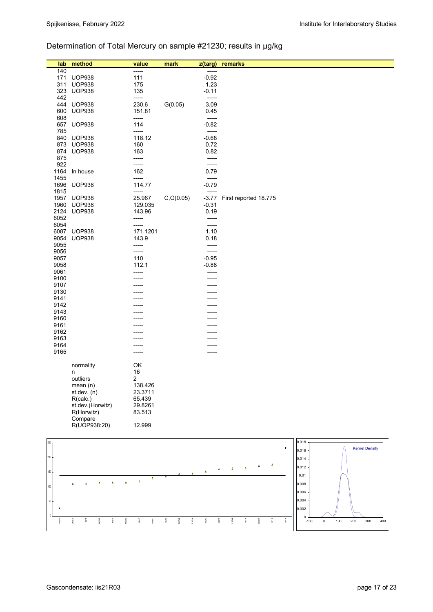# Determination of Total Mercury on sample #21230; results in µg/kg

| lab              | method                   | value                | mark       | $z$ (targ)         | remarks                                     |       |                       |
|------------------|--------------------------|----------------------|------------|--------------------|---------------------------------------------|-------|-----------------------|
| 140              |                          | -----                |            | -----              |                                             |       |                       |
| 171              | <b>UOP938</b>            | 111                  |            | $-0.92$            |                                             |       |                       |
| 311              | <b>UOP938</b>            | 175                  |            | 1.23               |                                             |       |                       |
|                  | 323 UOP938               | 135                  |            | $-0.11$            |                                             |       |                       |
| 442<br>444       | <b>UOP938</b>            | -----<br>230.6       | G(0.05)    | -----<br>3.09      |                                             |       |                       |
| 600              | <b>UOP938</b>            | 151.81               |            | 0.45               |                                             |       |                       |
| 608              |                          | -----                |            | -----              |                                             |       |                       |
|                  | 657 UOP938               | 114                  |            | $-0.82$            |                                             |       |                       |
| 785              |                          | -----                |            | $-----$            |                                             |       |                       |
|                  | 840 UOP938               | 118.12               |            | $-0.68$            |                                             |       |                       |
|                  | 873 UOP938<br>874 UOP938 | 160<br>163           |            | 0.72<br>0.82       |                                             |       |                       |
| 875              |                          | -----                |            | -----              |                                             |       |                       |
| 922              |                          | -----                |            | -----              |                                             |       |                       |
| 1164             | In house                 | 162                  |            | 0.79               |                                             |       |                       |
| 1455             |                          | -----                |            | -----              |                                             |       |                       |
| 1696             | <b>UOP938</b>            | 114.77               |            | $-0.79$            |                                             |       |                       |
| 1815             | 1957 UOP938              | -----<br>25.967      | C, G(0.05) | $-----$<br>$-3.77$ | First reported 18.775                       |       |                       |
|                  | 1960 UOP938              | 129.035              |            | $-0.31$            |                                             |       |                       |
| 2124             | <b>UOP938</b>            | 143.96               |            | 0.19               |                                             |       |                       |
| 6052             |                          | -----                |            | -----              |                                             |       |                       |
| 6054             |                          | -----                |            | -----              |                                             |       |                       |
|                  | 6087 UOP938              | 171.1201             |            | 1.10               |                                             |       |                       |
| 9055             | 9054 UOP938              | 143.9<br>-----       |            | 0.18<br>-----      |                                             |       |                       |
| 9056             |                          | -----                |            | -----              |                                             |       |                       |
| 9057             |                          | 110                  |            | $-0.95$            |                                             |       |                       |
| 9058             |                          | 112.1                |            | $-0.88$            |                                             |       |                       |
| 9061             |                          | -----                |            | -----              |                                             |       |                       |
| 9100             |                          |                      |            | -----              |                                             |       |                       |
| 9107<br>9130     |                          |                      |            |                    |                                             |       |                       |
| 9141             |                          |                      |            |                    |                                             |       |                       |
| 9142             |                          |                      |            |                    |                                             |       |                       |
| 9143             |                          |                      |            |                    |                                             |       |                       |
| 9160             |                          |                      |            |                    |                                             |       |                       |
| 9161<br>9162     |                          |                      |            |                    |                                             |       |                       |
| 9163             |                          |                      |            |                    |                                             |       |                       |
| 9164             |                          |                      |            |                    |                                             |       |                       |
| 9165             |                          | -----                |            |                    |                                             |       |                       |
|                  |                          |                      |            |                    |                                             |       |                       |
|                  | normality                | OK                   |            |                    |                                             |       |                       |
|                  | n<br>outliers            | 16<br>$\overline{c}$ |            |                    |                                             |       |                       |
|                  | mean(n)                  | 138.426              |            |                    |                                             |       |                       |
|                  | st.dev. (n)              | 23.3711              |            |                    |                                             |       |                       |
|                  | R(calc.)                 | 65.439               |            |                    |                                             |       |                       |
|                  | st.dev.(Horwitz)         | 29.8261              |            |                    |                                             |       |                       |
|                  | R(Horwitz)               | 83.513               |            |                    |                                             |       |                       |
|                  | Compare<br>R(UOP938:20)  | 12.999               |            |                    |                                             |       |                       |
|                  |                          |                      |            |                    |                                             |       |                       |
| 250              |                          |                      |            |                    |                                             | 0.018 |                       |
|                  |                          |                      |            |                    |                                             | 0.016 | <b>Kernel Density</b> |
| 200              |                          |                      |            |                    |                                             | 0.014 |                       |
|                  |                          |                      |            | Δ                  | Δ<br>Δ<br>$\pmb{\Lambda}$<br>$\pmb{\Delta}$ | 0.012 |                       |
| 150 <sub>1</sub> |                          |                      |            | $\Delta$           |                                             | 0.01  |                       |
|                  |                          | $\pmb{\Delta}$       |            |                    |                                             |       |                       |



0

50

100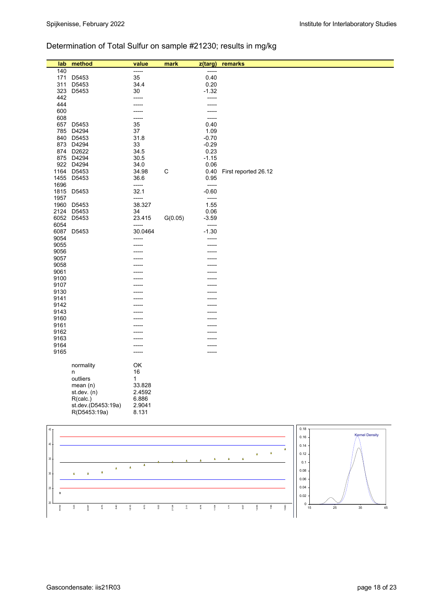# Determination of Total Sulfur on sample #21230; results in mg/kg

| lab          | method             | value   | mark        | z(targ) | remarks                       |
|--------------|--------------------|---------|-------------|---------|-------------------------------|
| 140          |                    | -----   |             | -----   |                               |
| 171          | D5453              | 35      |             | 0.40    |                               |
| 311          | D5453              | 34.4    |             | 0.20    |                               |
| 323          | D5453              | 30      |             | $-1.32$ |                               |
| 442          |                    |         |             | -----   |                               |
| 444          |                    | -----   |             |         |                               |
|              |                    | -----   |             | -----   |                               |
| 600          |                    | -----   |             | -----   |                               |
| 608          |                    | -----   |             | -----   |                               |
| 657          | D5453              | 35      |             | 0.40    |                               |
| 785          | D4294              | 37      |             | 1.09    |                               |
|              | 840 D5453          | 31.8    |             | $-0.70$ |                               |
| 873          | D4294              | 33      |             | $-0.29$ |                               |
| 874          | D2622              | 34.5    |             | 0.23    |                               |
|              | 875 D4294          | 30.5    |             | $-1.15$ |                               |
|              | 922 D4294          | 34.0    |             | 0.06    |                               |
| 1164         | D5453              | 34.98   | $\mathsf C$ | 0.40    | First reported 26.12          |
|              | 1455 D5453         | 36.6    |             | 0.95    |                               |
| 1696         |                    | -----   |             | -----   |                               |
|              | 1815 D5453         | 32.1    |             | $-0.60$ |                               |
| 1957         |                    | -----   |             | -----   |                               |
|              | 1960 D5453         | 38.327  |             | 1.55    |                               |
| 2124         | D5453              | 34      |             | 0.06    |                               |
|              | 6052 D5453         | 23.415  | G(0.05)     | $-3.59$ |                               |
| 6054         |                    | -----   |             | -----   |                               |
| 6087         | D5453              | 30.0464 |             | $-1.30$ |                               |
| 9054         |                    | -----   |             | -----   |                               |
| 9055         |                    |         |             | -----   |                               |
| 9056         |                    |         |             | ----    |                               |
| 9057         |                    |         |             |         |                               |
| 9058         |                    |         |             |         |                               |
| 9061         |                    |         |             |         |                               |
| 9100         |                    |         |             |         |                               |
| 9107         |                    |         |             |         |                               |
| 9130         |                    |         |             |         |                               |
| 9141         |                    |         |             |         |                               |
| 9142         |                    |         |             | ----    |                               |
| 9143         |                    |         |             |         |                               |
| 9160         |                    |         |             |         |                               |
| 9161         |                    |         |             |         |                               |
| 9162         |                    |         |             |         |                               |
| 9163         |                    |         |             |         |                               |
| 9164         |                    | -----   |             |         |                               |
| 9165         |                    | -----   |             | ----    |                               |
|              |                    |         |             |         |                               |
|              | normality          | OK      |             |         |                               |
|              | n                  | 16      |             |         |                               |
|              | outliers           | 1       |             |         |                               |
|              | mean (n)           | 33.828  |             |         |                               |
|              | st.dev. (n)        | 2.4592  |             |         |                               |
|              | R(calc.)           | 6.886   |             |         |                               |
|              | st.dev.(D5453:19a) | 2.9041  |             |         |                               |
|              |                    |         |             |         |                               |
|              | R(D5453:19a)       | 8.131   |             |         |                               |
|              |                    |         |             |         |                               |
| $45$ $\cdot$ |                    |         |             |         | 0.18                          |
|              |                    |         |             |         | <b>Kernel Density</b><br>0.16 |
|              |                    |         |             |         |                               |

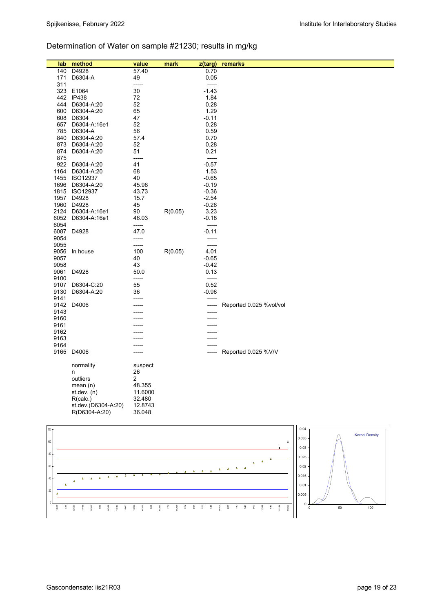# Determination of Water on sample #21230; results in mg/kg

| lab  | method                          | value             | mark    | z(targ) | remarks                 |
|------|---------------------------------|-------------------|---------|---------|-------------------------|
| 140  | D4928                           | 57.40             |         | 0.70    |                         |
| 171  | D6304-A                         | 49                |         | 0.05    |                         |
| 311  |                                 | -----             |         | -----   |                         |
|      | 323 E1064                       | 30                |         | $-1.43$ |                         |
|      | 442 IP438                       | 72                |         | 1.84    |                         |
| 444  | D6304-A:20                      | 52                |         | 0.28    |                         |
| 600  | D6304-A:20                      | 65                |         | 1.29    |                         |
|      | 608 D6304                       | 47                |         | $-0.11$ |                         |
| 657  | D6304-A:16e1                    | 52                |         | 0.28    |                         |
| 785  | D6304-A                         | 56                |         | 0.59    |                         |
| 840  | D6304-A:20                      | 57.4              |         | 0.70    |                         |
| 873  | D6304-A:20                      | 52                |         | 0.28    |                         |
| 874  | D6304-A:20                      | 51                |         | 0.21    |                         |
| 875  |                                 | -----             |         | -----   |                         |
|      | 922 D6304-A:20                  | 41                |         | $-0.57$ |                         |
| 1164 | D6304-A:20                      | 68                |         | 1.53    |                         |
|      | 1455 ISO12937                   | 40                |         | $-0.65$ |                         |
| 1696 | D6304-A:20                      | 45.96             |         | $-0.19$ |                         |
| 1815 | <b>ISO12937</b>                 | 43.73             |         | $-0.36$ |                         |
|      | 1957 D4928                      | 15.7              |         | $-2.54$ |                         |
| 1960 | D4928                           | 45                |         | $-0.26$ |                         |
| 2124 | D6304-A:16e1                    | 90                | R(0.05) | 3.23    |                         |
| 6052 | D6304-A:16e1                    | 46.03             |         | $-0.18$ |                         |
| 6054 |                                 | -----             |         | -----   |                         |
|      | 6087 D4928                      | 47.0              |         | -0.11   |                         |
| 9054 |                                 | -----             |         | -----   |                         |
| 9055 |                                 | -----             |         | -----   |                         |
| 9056 | In house                        | 100               | R(0.05) | 4.01    |                         |
| 9057 |                                 | 40                |         | $-0.65$ |                         |
| 9058 |                                 | 43                |         | -0.42   |                         |
| 9061 | D4928                           | 50.0              |         | 0.13    |                         |
| 9100 |                                 | -----             |         | -----   |                         |
| 9107 | D6304-C:20                      | 55                |         | 0.52    |                         |
| 9130 | D6304-A:20                      | 36                |         | $-0.96$ |                         |
| 9141 |                                 | -----             |         | -----   |                         |
| 9142 | D4006                           |                   |         | -----   | Reported 0.025 %vol/vol |
| 9143 |                                 |                   |         |         |                         |
| 9160 |                                 |                   |         |         |                         |
| 9161 |                                 |                   |         |         |                         |
| 9162 |                                 |                   |         |         |                         |
| 9163 |                                 |                   |         |         |                         |
| 9164 |                                 |                   |         |         |                         |
|      | 9165 D4006                      | -----             |         | -----   | Reported 0.025 %V/V     |
|      | normality                       | suspect           |         |         |                         |
|      | n                               | 26                |         |         |                         |
|      | outliers                        | 2                 |         |         |                         |
|      | mean $(n)$                      | 48.355            |         |         |                         |
|      | st.dev. $(n)$                   | 11.6000<br>32.480 |         |         |                         |
|      | R(calc.)<br>st.dev.(D6304-A:20) | 12.8743           |         |         |                         |
|      | R(D6304-A:20)                   | 36.048            |         |         |                         |

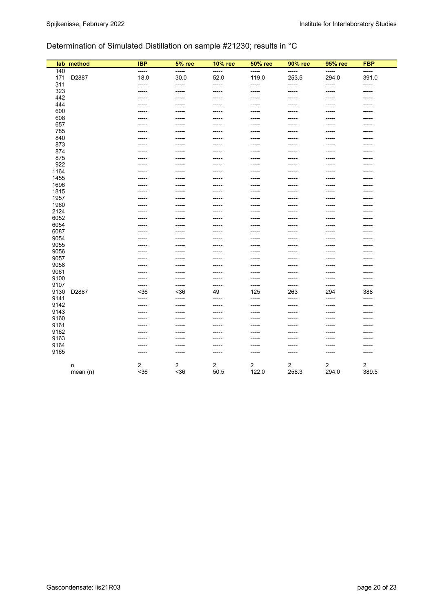## Determination of Simulated Distillation on sample #21230; results in °C

| lab  | method     | <b>IBP</b> | 5% rec | 10% rec        | <b>50% rec</b> | 90% rec     | 95% rec        | <b>FBP</b> |
|------|------------|------------|--------|----------------|----------------|-------------|----------------|------------|
| 140  |            | -----      | -----  | -----          | -----          | -----       | -----          | -----      |
| 171  | D2887      | 18.0       | 30.0   | 52.0           | 119.0          | 253.5       | 294.0          | 391.0      |
| 311  |            | -----      | -----  | -----          | $-----$        | $-----$     | -----          | -----      |
| 323  |            | -----      | -----  | -----          | -----          | -----       | -----          | -----      |
| 442  |            | -----      | -----  | -----          | -----          | -----       | -----          | -----      |
| 444  |            | -----      | -----  | -----          | -----          | -----       | -----          | -----      |
| 600  |            |            |        |                |                |             |                |            |
| 608  |            | -----      | -----  | -----          | -----          | -----       | -----          |            |
| 657  |            | -----      | -----  | -----          | -----          | -----       |                |            |
| 785  |            | -----      | -----  | -----          | -----          | -----       | -----          |            |
| 840  |            |            | -----  | -----          | -----          |             |                |            |
| 873  |            |            | -----  | -----          | -----          |             |                |            |
| 874  |            |            | -----  | -----          | -----          |             |                |            |
| 875  |            |            | -----  | -----          | -----          | -----       |                |            |
| 922  |            |            | ----   | ----           | -----          | -----       |                |            |
| 1164 |            |            |        |                |                |             |                |            |
| 1455 |            |            | -----  | -----          |                |             |                |            |
| 1696 |            |            |        |                |                |             |                |            |
| 1815 |            | -----      | -----  | -----          | -----          | -----       | -----          |            |
| 1957 |            | -----      | -----  | -----          | -----          | -----       | -----          |            |
| 1960 |            |            |        | -----          |                |             |                |            |
| 2124 |            | -----      | -----  | -----          | -----          | -----       | -----          |            |
| 6052 |            | -----      | -----  | -----          | -----          | -----       | -----          |            |
| 6054 |            | -----      | -----  | -----          | -----          | -----       | $-----1$       |            |
| 6087 |            | -----      | -----  | -----          | -----          | -----       | -----          |            |
| 9054 |            |            | -----  | -----          | -----          | -----       |                |            |
| 9055 |            | -----      | -----  | -----          | -----          | -----       | -----          |            |
| 9056 |            |            |        |                |                |             |                |            |
| 9057 |            | -----      | -----  | -----          | -----          | -----       | $-----1$       | -----      |
| 9058 |            |            | -----  |                |                |             |                |            |
| 9061 |            |            | -----  |                |                |             |                |            |
| 9100 |            | -----      | -----  | -----          | -----          | -----       | -----          | -----      |
| 9107 |            | -----      | -----  | -----          | -----          | $-----1$    | ------         | -----      |
| 9130 | D2887      | $36$       | <36    | 49             | 125            | 263         | 294            | 388        |
| 9141 |            | -----      | -----  | -----          | -----          | ------      | ------         | -----      |
| 9142 |            | -----      | -----  | -----          | -----          | $-----1$    | $-----1$       | -----      |
| 9143 |            | -----      | -----  | -----          | -----          | -----       | -----          |            |
| 9160 |            | -----      | -----  | -----          | -----          | -----       | -----          |            |
| 9161 |            | -----      | -----  | -----          | -----          | -----       | -----          |            |
| 9162 |            |            |        |                |                |             |                |            |
| 9163 |            |            | ----   | -----          |                |             |                |            |
| 9164 |            | -----      | -----  | -----          | -----          | -----       |                |            |
| 9165 |            | -----      | -----  | -----          | -----          | $- - - - -$ | $- - - - -$    | -----      |
|      |            |            |        |                |                |             |                |            |
|      | n          | 2          | 2      | $\overline{2}$ | $\overline{2}$ | 2           | $\overline{2}$ | 2          |
|      | mean $(n)$ | $36$       | $36$   | 50.5           | 122.0          | 258.3       | 294.0          | 389.5      |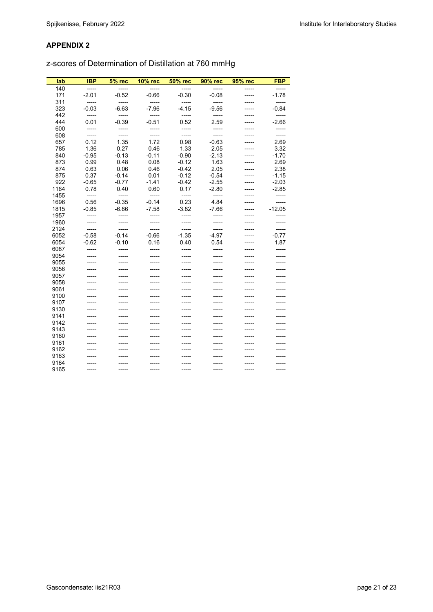z-scores of Determination of Distillation at 760 mmHg

| lab  | <b>IBP</b> | <b>5% rec</b> | 10% rec | <b>50% rec</b> | 90% rec | 95% rec     | <b>FBP</b> |
|------|------------|---------------|---------|----------------|---------|-------------|------------|
| 140  | -----      | -----         | -----   | -----          | $---$   | -----       |            |
| 171  | $-2.01$    | $-0.52$       | $-0.66$ | $-0.30$        | $-0.08$ | -----       | $-1.78$    |
| 311  | -----      | -----         | -----   | -----          | $---$   |             | -----      |
| 323  | $-0.03$    | $-6.63$       | $-7.96$ | $-4.15$        | $-9.56$ |             | $-0.84$    |
| 442  | -----      | -----         | -----   | $-----$        | $---$   | -----       | -----      |
| 444  | 0.01       | $-0.39$       | $-0.51$ | 0.52           | 2.59    | -----       | $-2.66$    |
| 600  | -----      | $--- -$       | -----   | $--- -$        | $--- -$ | -----       | -----      |
| 608  | -----      | -----         | $-----$ | -----          | -----   | -----       | -----      |
| 657  | 0.12       | 1.35          | 1.72    | 0.98           | $-0.63$ | -----       | 2.69       |
| 785  | 1.36       | 0.27          | 0.46    | 1.33           | 2.05    | -----       | 3.32       |
| 840  | $-0.95$    | $-0.13$       | $-0.11$ | $-0.90$        | $-2.13$ | -----       | $-1.70$    |
| 873  | 0.99       | 0.48          | 0.08    | $-0.12$        | 1.63    | -----       | 2.69       |
| 874  | 0.63       | 0.06          | 0.46    | $-0.42$        | 2.05    | -----       | 2.38       |
| 875  | 0.37       | $-0.14$       | 0.01    | $-0.12$        | $-0.54$ | -----       | $-1.15$    |
| 922  | $-0.65$    | $-0.77$       | $-1.41$ | $-0.42$        | $-2.55$ | -----       | $-2.03$    |
| 1164 | 0.78       | 0.40          | 0.60    | 0.17           | $-2.80$ | -----       | $-2.85$    |
| 1455 | -----      | $-----$       | -----   | -----          | -----   | -----       | $-----$    |
| 1696 | 0.56       | $-0.35$       | $-0.14$ | 0.23           | 4.84    | -----       | -----      |
| 1815 | $-0.85$    | $-6.86$       | $-7.58$ | $-3.82$        | $-7.66$ | -----       | $-12.05$   |
| 1957 | -----      | -----         | $-----$ | -----          | -----   | -----       | -----      |
| 1960 | -----      | -----         | -----   | $--- -$        | -----   |             | -----      |
| 2124 | $---$      | -----         | -----   | $---$          | $---$   | -----       | -----      |
| 6052 | $-0.58$    | $-0.14$       | $-0.66$ | $-1.35$        | $-4.97$ | -----       | $-0.77$    |
| 6054 | $-0.62$    | $-0.10$       | 0.16    | 0.40           | 0.54    |             | 1.87       |
| 6087 | -----      | -----         | -----   | -----          | -----   | -----       | -----      |
| 9054 | -----      | -----         | -----   | -----          | -----   | -----       | -----      |
| 9055 |            |               | $--- -$ | -----          | -----   |             | -----      |
| 9056 |            | -----         | -----   | -----          | -----   |             |            |
| 9057 | -----      | -----         | -----   | -----          | -----   | -----       | -----      |
| 9058 | -----      | -----         | -----   | -----          | -----   | -----       | -----      |
| 9061 | -----      | -----         | -----   | -----          | -----   |             | -----      |
| 9100 | -----      | -----         | -----   | -----          | -----   | -----       | -----      |
| 9107 | -----      | -----         | $--- -$ | -----          | -----   | -----       | -----      |
| 9130 |            |               | $--- -$ | -----          | -----   |             | -----      |
| 9141 | -----      | -----         | -----   | -----          | -----   | -----       |            |
| 9142 | -----      | -----         | -----   | -----          | -----   | -----       | -----      |
| 9143 |            | -----         | -----   | -----          | -----   | -----       | -----      |
| 9160 | -----      | -----         | -----   | -----          | -----   | -----       | -----      |
| 9161 | -----      | -----         | $--- -$ | -----          | -----   | -----       |            |
| 9162 | -----      |               | $--- -$ | -----          | -----   | -----       | -----      |
| 9163 |            | -----         |         | -----          | -----   | -----       | -----      |
| 9164 | -----      | -----         | -----   | -----          | -----   | -----       | -----      |
| 9165 | ------     | -----         | $--- -$ | $---$          | ------  | $- - - - -$ | -----      |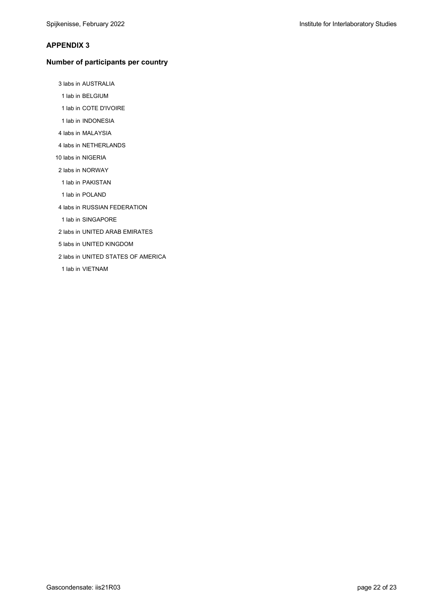#### **Number of participants per country**

3 labs in AUSTRALIA

- 1 lab in BELGIUM
- 1 lab in COTE D'IVOIRE
- 1 lab in INDONESIA
- 4 labs in MALAYSIA
- 4 labs in NETHERLANDS
- 10 labs in NIGERIA
- 2 labs in NORWAY
- 1 lab in PAKISTAN
- 1 lab in POLAND
- 4 labs in RUSSIAN FEDERATION
- 1 lab in SINGAPORE
- 2 labs in UNITED ARAB EMIRATES
- 5 labs in UNITED KINGDOM
- 2 labs in UNITED STATES OF AMERICA
- 1 lab in VIETNAM